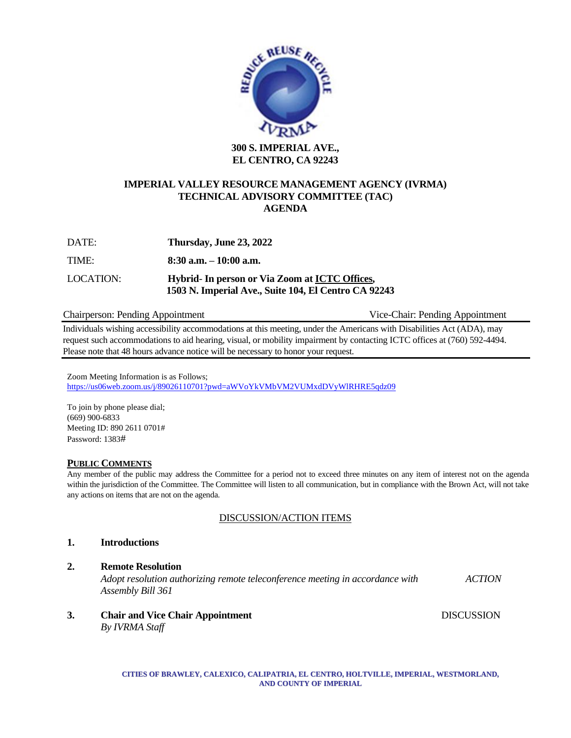

### **IMPERIAL VALLEY RESOURCE MANAGEMENT AGENCY (IVRMA) TECHNICAL ADVISORY COMMITTEE (TAC) AGENDA**

| DATE:     | Thursday, June 23, 2022                                                                                |
|-----------|--------------------------------------------------------------------------------------------------------|
| TIME:     | $8:30$ a.m. $-10:00$ a.m.                                                                              |
| LOCATION: | Hybrid- In person or Via Zoom at ICTC Offices,<br>1503 N. Imperial Ave., Suite 104, El Centro CA 92243 |

### Chairperson: Pending Appointment Vice-Chair: Pending Appointment

Individuals wishing accessibility accommodations at this meeting, under the Americans with Disabilities Act (ADA), may request such accommodations to aid hearing, visual, or mobility impairment by contacting ICTC offices at (760) 592-4494. Please note that 48 hours advance notice will be necessary to honor your request.

Zoom Meeting Information is as Follows; <https://us06web.zoom.us/j/89026110701?pwd=aWVoYkVMbVM2VUMxdDVyWlRHRE5qdz09>

To join by phone please dial; (669) 900-6833 Meeting ID: 890 2611 0701# Password: 1383#

### **PUBLIC COMMENTS**

Any member of the public may address the Committee for a period not to exceed three minutes on any item of interest not on the agenda within the jurisdiction of the Committee. The Committee will listen to all communication, but in compliance with the Brown Act, will not take any actions on items that are not on the agenda.

### DISCUSSION/ACTION ITEMS

### **1. Introductions**

### **2. Remote Resolution**

*Adopt resolution authorizing remote teleconference meeting in accordance with ACTION Assembly Bill 361*

**3. Chair and Vice Chair Appointment** DISCUSSION

*By IVRMA Staff*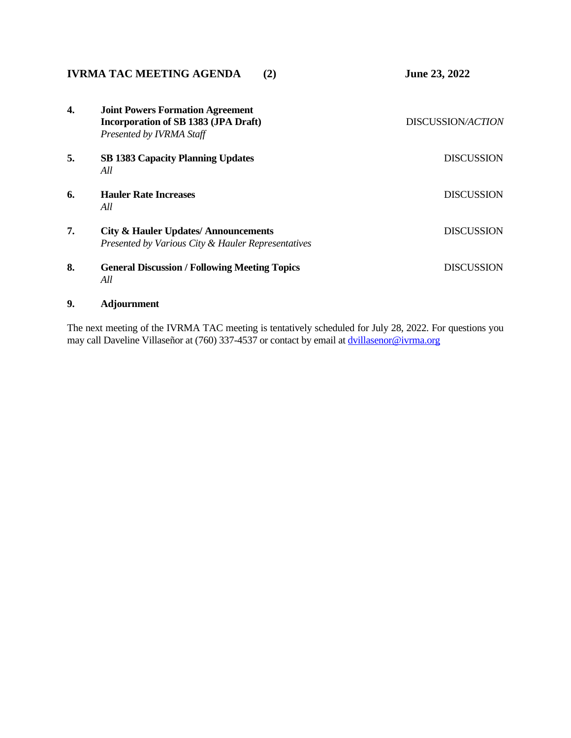| <b>IVRMA TAC MEETING AGENDA</b><br>(2) |                                                                                                             | June 23, 2022     |
|----------------------------------------|-------------------------------------------------------------------------------------------------------------|-------------------|
| 4.                                     | <b>Joint Powers Formation Agreement</b><br>Incorporation of SB 1383 (JPA Draft)<br>Presented by IVRMA Staff | DISCUSSION/ACTION |
| 5.                                     | <b>SB 1383 Capacity Planning Updates</b><br>All                                                             | <b>DISCUSSION</b> |
| 6.                                     | <b>Hauler Rate Increases</b><br>All                                                                         | <b>DISCUSSION</b> |
| 7.                                     | <b>City &amp; Hauler Updates/Announcements</b><br>Presented by Various City & Hauler Representatives        | <b>DISCUSSION</b> |
| 8.                                     | <b>General Discussion / Following Meeting Topics</b><br>All                                                 | <b>DISCUSSION</b> |

# **9. Adjournment**

The next meeting of the IVRMA TAC meeting is tentatively scheduled for July 28, 2022. For questions you may call Daveline Villaseñor at (760) 337-4537 or contact by email at **[dvillasenor@ivrma.org](mailto:dvillasenor@ivrma.org)**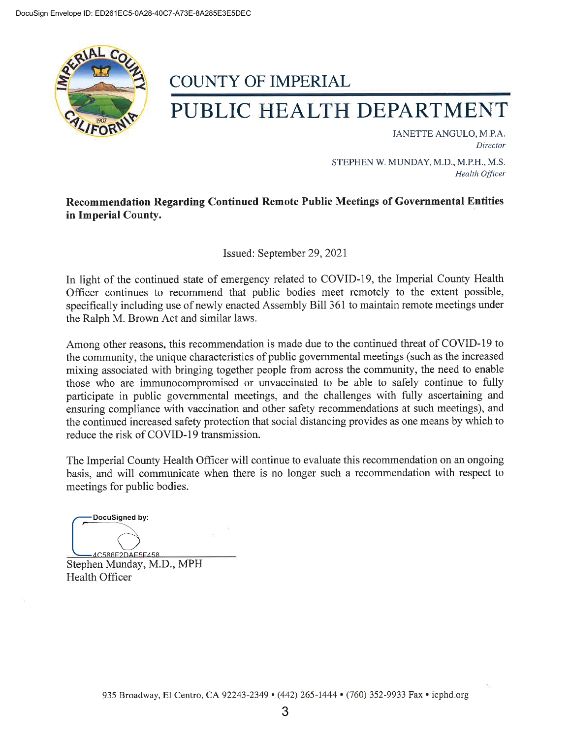

# **COUNTY OF IMPERIAL**

# PUBLIC HEALTH DEPARTMENT

JANETTE ANGULO, M.P.A. Director

STEPHEN W. MUNDAY, M.D., M.P.H., M.S. **Health Officer** 

# Recommendation Regarding Continued Remote Public Meetings of Governmental Entities in Imperial County.

Issued: September 29, 2021

In light of the continued state of emergency related to COVID-19, the Imperial County Health Officer continues to recommend that public bodies meet remotely to the extent possible, specifically including use of newly enacted Assembly Bill 361 to maintain remote meetings under the Ralph M. Brown Act and similar laws.

Among other reasons, this recommendation is made due to the continued threat of COVID-19 to the community, the unique characteristics of public governmental meetings (such as the increased mixing associated with bringing together people from across the community, the need to enable those who are immunocompromised or unvaccinated to be able to safely continue to fully participate in public governmental meetings, and the challenges with fully ascertaining and ensuring compliance with vaccination and other safety recommendations at such meetings), and the continued increased safety protection that social distancing provides as one means by which to reduce the risk of COVID-19 transmission.

The Imperial County Health Officer will continue to evaluate this recommendation on an ongoing basis, and will communicate when there is no longer such a recommendation with respect to meetings for public bodies.

DocuSigned by: 4C586F2DAE5F458

Stephen Munday, M.D., MPH **Health Officer**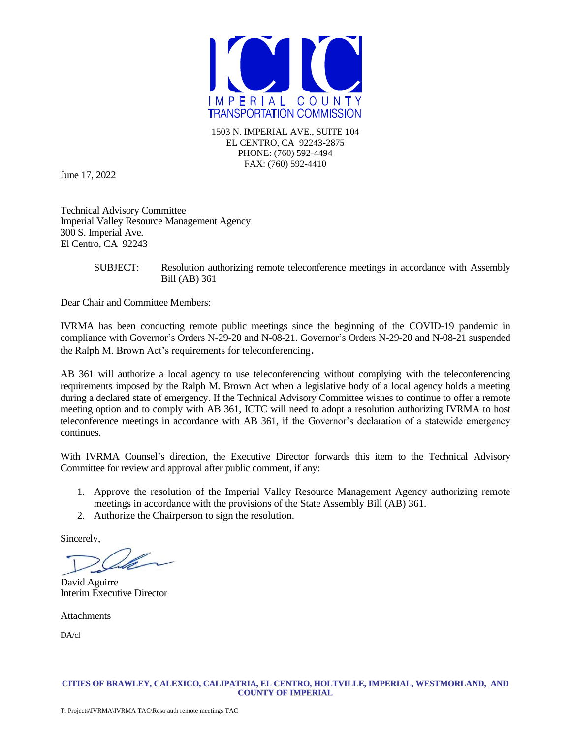

1503 N. IMPERIAL AVE., SUITE 104 EL CENTRO, CA 92243-2875 PHONE: (760) 592-4494 FAX: (760) 592-4410

June 17, 2022

Technical Advisory Committee Imperial Valley Resource Management Agency 300 S. Imperial Ave. El Centro, CA 92243

### SUBJECT: Resolution authorizing remote teleconference meetings in accordance with Assembly Bill (AB) 361

Dear Chair and Committee Members:

IVRMA has been conducting remote public meetings since the beginning of the COVID-19 pandemic in compliance with Governor's Orders N-29-20 and N-08-21. Governor's Orders N-29-20 and N-08-21 suspended the Ralph M. Brown Act's requirements for teleconferencing.

AB 361 will authorize a local agency to use teleconferencing without complying with the teleconferencing requirements imposed by the Ralph M. Brown Act when a legislative body of a local agency holds a meeting during a declared state of emergency. If the Technical Advisory Committee wishes to continue to offer a remote meeting option and to comply with AB 361, ICTC will need to adopt a resolution authorizing IVRMA to host teleconference meetings in accordance with AB 361, if the Governor's declaration of a statewide emergency continues.

With IVRMA Counsel's direction, the Executive Director forwards this item to the Technical Advisory Committee for review and approval after public comment, if any:

- 1. Approve the resolution of the Imperial Valley Resource Management Agency authorizing remote meetings in accordance with the provisions of the State Assembly Bill (AB) 361.
- 2. Authorize the Chairperson to sign the resolution.

Sincerely,

David Aguirre Interim Executive Director

**Attachments** 

DA/cl

#### **CITIES OF BRAWLEY, CALEXICO, CALIPATRIA, EL CENTRO, HOLTVILLE, IMPERIAL, WESTMORLAND, AND COUNTY OF IMPERIAL**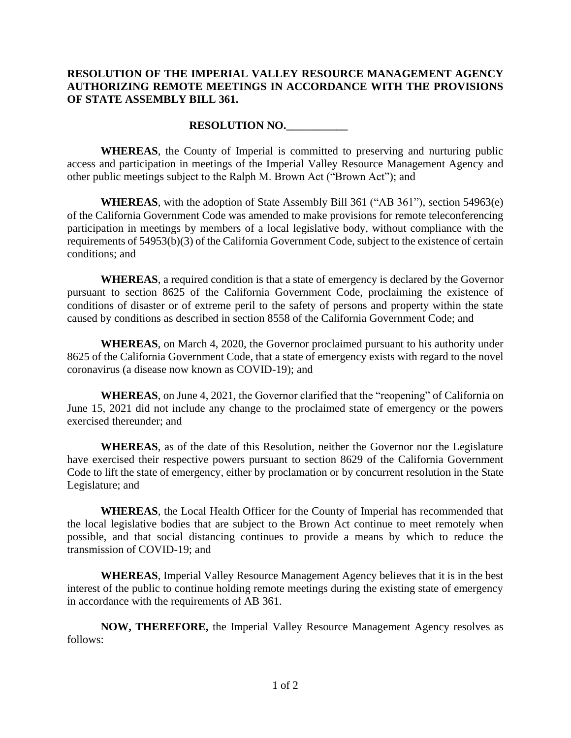## **RESOLUTION OF THE IMPERIAL VALLEY RESOURCE MANAGEMENT AGENCY AUTHORIZING REMOTE MEETINGS IN ACCORDANCE WITH THE PROVISIONS OF STATE ASSEMBLY BILL 361.**

## **RESOLUTION NO.\_\_\_\_\_\_\_\_\_\_\_**

**WHEREAS**, the County of Imperial is committed to preserving and nurturing public access and participation in meetings of the Imperial Valley Resource Management Agency and other public meetings subject to the Ralph M. Brown Act ("Brown Act"); and

**WHEREAS**, with the adoption of State Assembly Bill 361 ("AB 361"), section 54963(e) of the California Government Code was amended to make provisions for remote teleconferencing participation in meetings by members of a local legislative body, without compliance with the requirements of 54953(b)(3) of the California Government Code, subject to the existence of certain conditions; and

**WHEREAS**, a required condition is that a state of emergency is declared by the Governor pursuant to section 8625 of the California Government Code, proclaiming the existence of conditions of disaster or of extreme peril to the safety of persons and property within the state caused by conditions as described in section 8558 of the California Government Code; and

**WHEREAS**, on March 4, 2020, the Governor proclaimed pursuant to his authority under 8625 of the California Government Code, that a state of emergency exists with regard to the novel coronavirus (a disease now known as COVID-19); and

**WHEREAS**, on June 4, 2021, the Governor clarified that the "reopening" of California on June 15, 2021 did not include any change to the proclaimed state of emergency or the powers exercised thereunder; and

**WHEREAS**, as of the date of this Resolution, neither the Governor nor the Legislature have exercised their respective powers pursuant to section 8629 of the California Government Code to lift the state of emergency, either by proclamation or by concurrent resolution in the State Legislature; and

**WHEREAS**, the Local Health Officer for the County of Imperial has recommended that the local legislative bodies that are subject to the Brown Act continue to meet remotely when possible, and that social distancing continues to provide a means by which to reduce the transmission of COVID-19; and

**WHEREAS**, Imperial Valley Resource Management Agency believes that it is in the best interest of the public to continue holding remote meetings during the existing state of emergency in accordance with the requirements of AB 361.

**NOW, THEREFORE,** the Imperial Valley Resource Management Agency resolves as follows: